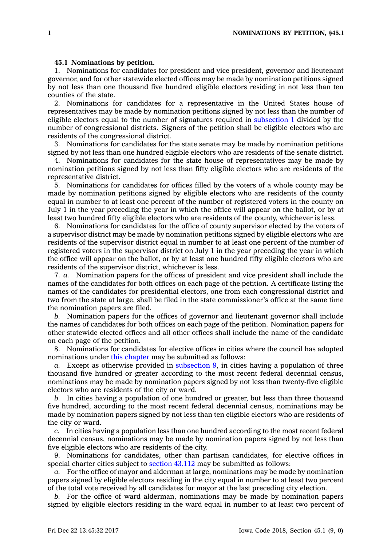## **45.1 Nominations by petition.**

1. Nominations for candidates for president and vice president, governor and lieutenant governor, and for other statewide elected offices may be made by nomination petitions signed by not less than one thousand five hundred eligible electors residing in not less than ten counties of the state.

2. Nominations for candidates for <sup>a</sup> representative in the United States house of representatives may be made by nomination petitions signed by not less than the number of eligible electors equal to the number of signatures required in [subsection](https://www.legis.iowa.gov/docs/code/45.1.pdf) 1 divided by the number of congressional districts. Signers of the petition shall be eligible electors who are residents of the congressional district.

3. Nominations for candidates for the state senate may be made by nomination petitions signed by not less than one hundred eligible electors who are residents of the senate district.

4. Nominations for candidates for the state house of representatives may be made by nomination petitions signed by not less than fifty eligible electors who are residents of the representative district.

5. Nominations for candidates for offices filled by the voters of <sup>a</sup> whole county may be made by nomination petitions signed by eligible electors who are residents of the county equal in number to at least one percent of the number of registered voters in the county on July 1 in the year preceding the year in which the office will appear on the ballot, or by at least two hundred fifty eligible electors who are residents of the county, whichever is less.

6. Nominations for candidates for the office of county supervisor elected by the voters of <sup>a</sup> supervisor district may be made by nomination petitions signed by eligible electors who are residents of the supervisor district equal in number to at least one percent of the number of registered voters in the supervisor district on July 1 in the year preceding the year in which the office will appear on the ballot, or by at least one hundred fifty eligible electors who are residents of the supervisor district, whichever is less.

7. *a.* Nomination papers for the offices of president and vice president shall include the names of the candidates for both offices on each page of the petition. A certificate listing the names of the candidates for presidential electors, one from each congressional district and two from the state at large, shall be filed in the state commissioner's office at the same time the nomination papers are filed.

*b.* Nomination papers for the offices of governor and lieutenant governor shall include the names of candidates for both offices on each page of the petition. Nomination papers for other statewide elected offices and all other offices shall include the name of the candidate on each page of the petition.

8. Nominations for candidates for elective offices in cities where the council has adopted nominations under this [chapter](https://www.legis.iowa.gov/docs/code//45.pdf) may be submitted as follows:

*a.* Except as otherwise provided in [subsection](https://www.legis.iowa.gov/docs/code/45.1.pdf) 9, in cities having <sup>a</sup> population of three thousand five hundred or greater according to the most recent federal decennial census, nominations may be made by nomination papers signed by not less than twenty-five eligible electors who are residents of the city or ward.

*b.* In cities having <sup>a</sup> population of one hundred or greater, but less than three thousand five hundred, according to the most recent federal decennial census, nominations may be made by nomination papers signed by not less than ten eligible electors who are residents of the city or ward.

*c.* In cities having <sup>a</sup> population less than one hundred according to the most recent federal decennial census, nominations may be made by nomination papers signed by not less than five eligible electors who are residents of the city.

9. Nominations for candidates, other than partisan candidates, for elective offices in special charter cities subject to [section](https://www.legis.iowa.gov/docs/code/43.112.pdf) 43.112 may be submitted as follows:

*a.* For the office of mayor and alderman at large, nominations may be made by nomination papers signed by eligible electors residing in the city equal in number to at least two percent of the total vote received by all candidates for mayor at the last preceding city election.

*b.* For the office of ward alderman, nominations may be made by nomination papers signed by eligible electors residing in the ward equal in number to at least two percent of